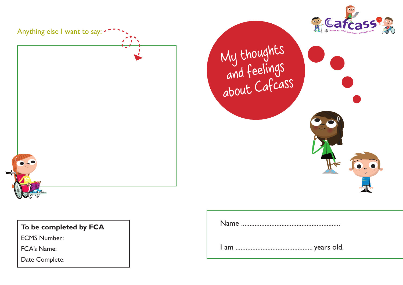

Anything else I want to say:  $\sim$ 

My thoughts and feelings about Cafcass

## **To be completed by FCA**

ECMS Number:

FCA's Name:

Date Complete: